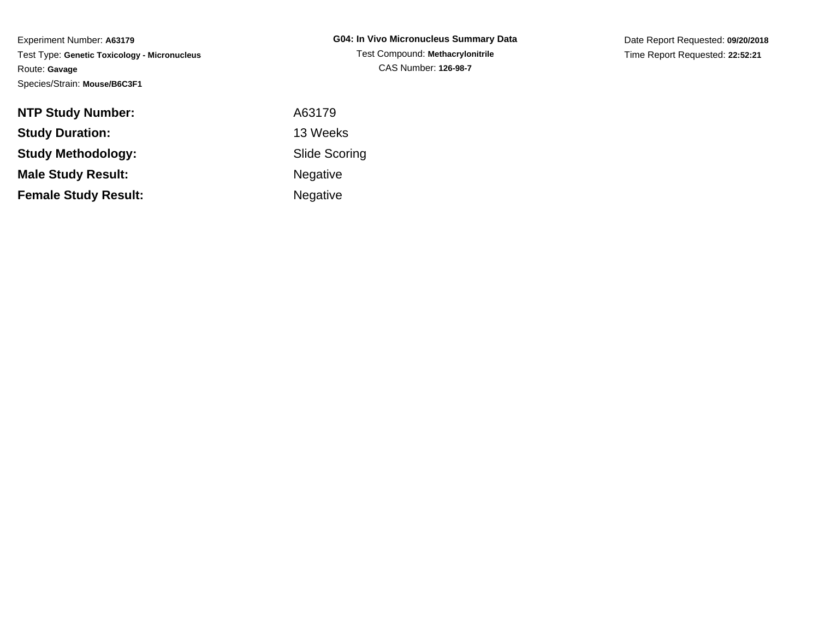Date Report Requested: **09/20/2018**Time Report Requested: **22:52:21**

| <b>NTP Study Number:</b>    | A63179               |
|-----------------------------|----------------------|
| <b>Study Duration:</b>      | 13 Weeks             |
| <b>Study Methodology:</b>   | <b>Slide Scoring</b> |
| <b>Male Study Result:</b>   | <b>Negative</b>      |
| <b>Female Study Result:</b> | <b>Negative</b>      |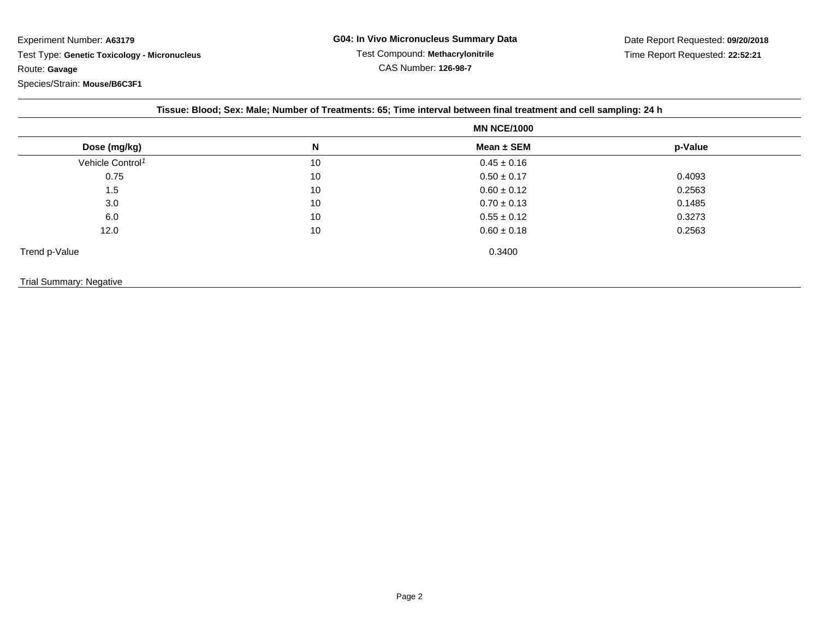|                                |    | Tissue: Blood; Sex: Male; Number of Treatments: 65; Time interval between final treatment and cell sampling: 24 h |         |  |
|--------------------------------|----|-------------------------------------------------------------------------------------------------------------------|---------|--|
|                                |    | <b>MN NCE/1000</b>                                                                                                |         |  |
| Dose (mg/kg)                   | N  | Mean $\pm$ SEM                                                                                                    | p-Value |  |
| Vehicle Control <sup>1</sup>   | 10 | $0.45 \pm 0.16$                                                                                                   |         |  |
| 0.75                           | 10 | $0.50 \pm 0.17$                                                                                                   | 0.4093  |  |
| 1.5                            | 10 | $0.60 \pm 0.12$                                                                                                   | 0.2563  |  |
| 3.0                            | 10 | $0.70 \pm 0.13$                                                                                                   | 0.1485  |  |
| 6.0                            | 10 | $0.55 \pm 0.12$                                                                                                   | 0.3273  |  |
| 12.0                           | 10 | $0.60 \pm 0.18$                                                                                                   | 0.2563  |  |
| Trend p-Value                  |    | 0.3400                                                                                                            |         |  |
| <b>Trial Summary: Negative</b> |    |                                                                                                                   |         |  |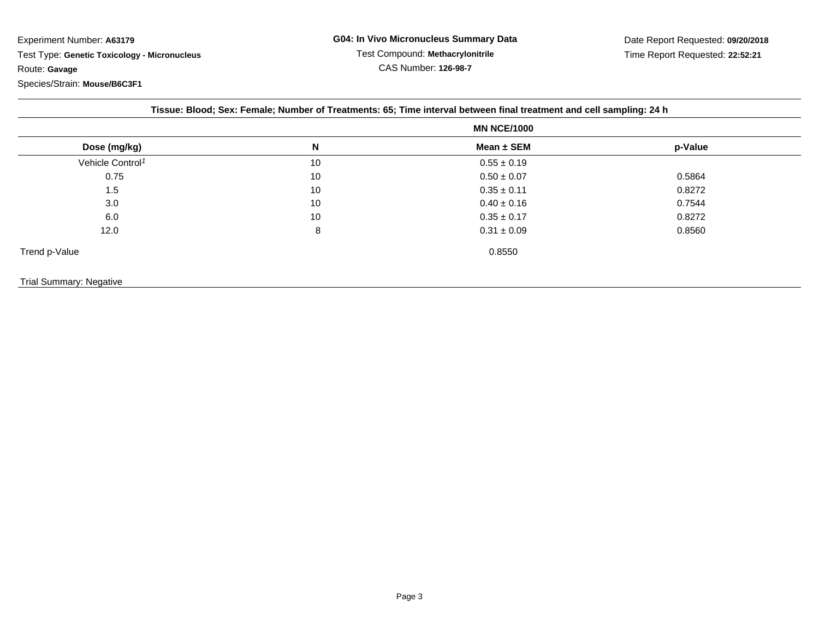|                              | <b>MN NCE/1000</b> |                 |         |
|------------------------------|--------------------|-----------------|---------|
| Dose (mg/kg)                 | N                  | Mean $\pm$ SEM  | p-Value |
| Vehicle Control <sup>1</sup> | 10                 | $0.55 \pm 0.19$ |         |
| 0.75                         | 10                 | $0.50 \pm 0.07$ | 0.5864  |
| 1.5                          | 10                 | $0.35 \pm 0.11$ | 0.8272  |
| 3.0                          | 10                 | $0.40 \pm 0.16$ | 0.7544  |
| 6.0                          | 10                 | $0.35 \pm 0.17$ | 0.8272  |
| 12.0                         | 8                  | $0.31 \pm 0.09$ | 0.8560  |
| Trend p-Value                |                    | 0.8550          |         |